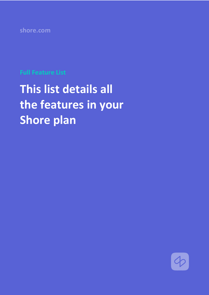**shore.com**

## **Full Feature List**

# **This list details all the features in your Shore plan**

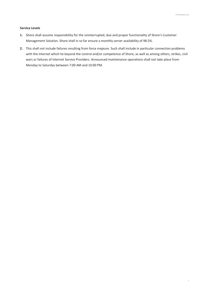#### **Service Levels**

- **1.** Shore shall assume responsibility for the uninterrupted, due and proper functionality of Shore's Customer Management Solution. Shore shall in so far ensure a monthly server availability of 98.5%.
- **2.** This shall not include failures resulting from force majeure. Such shall include in particular connection problems with the Internet which lie beyond the control and/or competence of Shore, as well as among others, strikes, civil wars or failures of Internet Service Providers. Announced maintenance operations shall not take place from Monday to Saturday between 7:00 AM and 10:00 PM.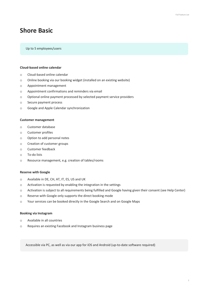### **Shore Basic**

#### Up to 5 employees/users

#### **Cloud-based online calendar**

- o Cloud-based online calendar
- o Online booking via our booking widget (installed on an existing website)
- o Appointment management
- o Appointment confirmations and reminders via email
- o Optional online payment processed by selected payment service providers
- o Secure payment process
- o Google and Apple Calendar synchronization

#### **Customer management**

- o Customer database
- o Customer profiles
- o Option to add personal notes
- o Creation of customer groups
- o Customer feedback
- o To-do lists
- o Resource management, e.g. creation of tables/rooms

#### **Reserve with Google**

- o Available in DE, CH, AT, IT, ES, US and UK
- o Activation is requested by enabling the integration in the settings
- o Activation is subject to all requirements being fulfilled and Google having given their consent (see Help Center)
- o Reserve with Google only supports the direct booking mode
- o Your services can be booked directly in the Google Search and on Google Maps

#### **Booking via Instagram**

- o Available in all countries
- o Requires an existing Facebook and Instagram business page

Accessible via PC, as well as via our app for iOS and Android (up-to-date software required)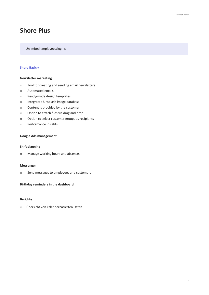## **Shore Plus**

Unlimited employees/logins

#### **Shore Basic +**

#### **Newsletter marketing**

- o Tool for creating and sending email newsletters
- o Automated emails
- o Ready-made design templates
- o Integrated Unsplash image database
- o Content is provided by the customer
- o Option to attach files via drag and drop
- o Option to select customer groups as recipients
- o Performance insights

#### **Google Ads management**

#### **Shift planning**

o Manage working hours and absences

#### **Messenger**

o Send messages to employees and customers

#### **Birthday reminders in the dashboard**

#### **Berichte**

o Übersicht von kalenderbasierten Daten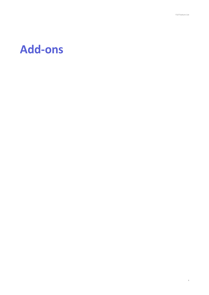## **Add-ons**

4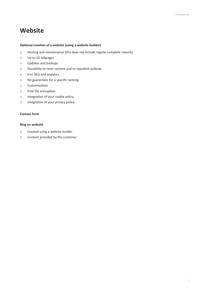## **Website**

#### **Optional creation of a website (using a website builder)**

- o Hosting and maintenance (this does not include regular complete rework)
- o Up to 10 subpages
- o Updates and backups
- o Possibility to reset content and to republish website
- o Incl. SEO and analytics
- o No guarantees for a specific ranking
- o Customization
- o Free SSL encryption
- o Integration of your cookie policy
- o Integration of your privacy policy

#### **Contact form**

#### **Blog on website**

- o Created using a website builder
- o Content provided by the customer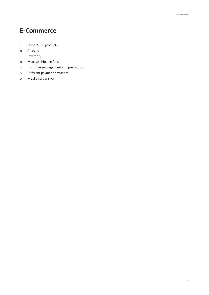## **E-Commerce**

- o Up to 2,500 products
- o Analytics
- o Inventory
- o Manage shipping fees
- o Customer management and promotions
- o Different payment providers
- o Mobile responsive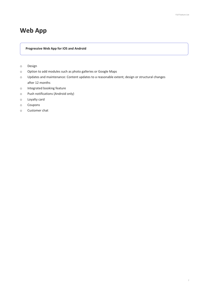## **Web App**

**Progressive Web App for iOS and Android**

- o Design
- o Option to add modules such as photo galleries or Google Maps
- o Updates and maintenance: Content updates to a reasonable extent; design or structural changes after 12 months
- o Integrated booking feature
- o Push notifications (Android only)
- o Loyalty card
- o Coupons
- o Customer chat